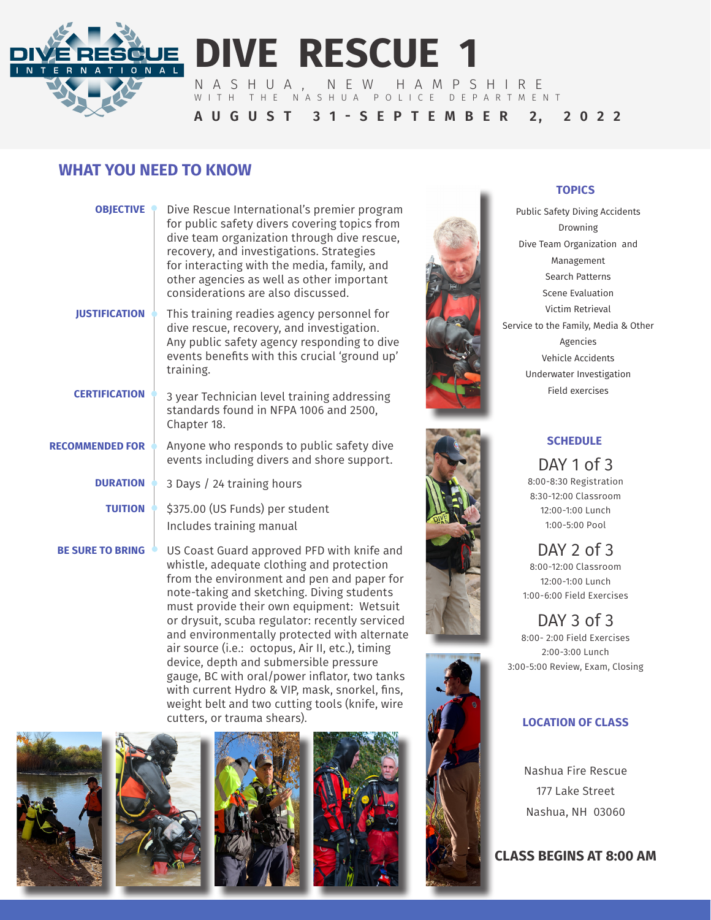

# **DIVE RESCUE 1**

NASHUA, NEW HAMPSHIRE WITH THE NASHUA POLICE DEPARTMENT

**A U G U S T 3 1 - S E P T E M B E R 2, 2 0 2 2**

## **WHAT YOU NEED TO KNOW**

| <b>OBJECTIVE</b>        | Dive Rescue International's premier program<br>for public safety divers covering topics from<br>dive team organization through dive rescue,<br>recovery, and investigations. Strategies<br>for interacting with the media, family, and<br>other agencies as well as other important<br>considerations are also discussed. |
|-------------------------|---------------------------------------------------------------------------------------------------------------------------------------------------------------------------------------------------------------------------------------------------------------------------------------------------------------------------|
| <b>JUSTIFICATION</b>    | This training readies agency personnel for<br>dive rescue, recovery, and investigation.<br>Any public safety agency responding to dive<br>events benefits with this crucial 'ground up'<br>training.                                                                                                                      |
| <b>CERTIFICATION</b>    | 3 year Technician level training addressing<br>standards found in NFPA 1006 and 2500,<br>Chapter 18.                                                                                                                                                                                                                      |
| <b>RECOMMENDED FOR</b>  | Anyone who responds to public safety dive<br>events including divers and shore support.                                                                                                                                                                                                                                   |
| <b>DURATION</b>         | 3 Days / 24 training hours                                                                                                                                                                                                                                                                                                |
| <b>TUITION</b>          | \$375.00 (US Funds) per student<br>Includes training manual                                                                                                                                                                                                                                                               |
| <b>BE SURE TO BRING</b> | US Coast Guard approved PFD with knife and                                                                                                                                                                                                                                                                                |

US Coast Guard approved PFD with knife and whistle, adequate clothing and protection from the environment and pen and paper for note-taking and sketching. Diving students must provide their own equipment: Wetsuit or drysuit, scuba regulator: recently serviced and environmentally protected with alternate air source (i.e.: octopus, Air II, etc.), timing device, depth and submersible pressure gauge, BC with oral/power inflator, two tanks with current Hydro & VIP, mask, snorkel, fins, weight belt and two cutting tools (knife, wire cutters, or trauma shears).











#### **TOPICS**

Public Safety Diving Accidents Drowning Dive Team Organization and Management Search Patterns Scene Evaluation Victim Retrieval Service to the Family, Media & Other Agencies Vehicle Accidents Underwater Investigation Field exercises



#### **SCHEDULE**

DAY 1 of 3 8:00-8:30 Registration 8:30-12:00 Classroom 12:00-1:00 Lunch 1:00-5:00 Pool

DAY 2 of 3 8:00-12:00 Classroom 12:00-1:00 Lunch 1:00-6:00 Field Exercises

DAY 3 of 3 8:00- 2:00 Field Exercises 2:00-3:00 Lunch 3:00-5:00 Review, Exam, Closing

### **LOCATION OF CLASS**

Nashua Fire Rescue 177 Lake Street Nashua, NH 03060

**CLASS BEGINS AT 8:00 AM**